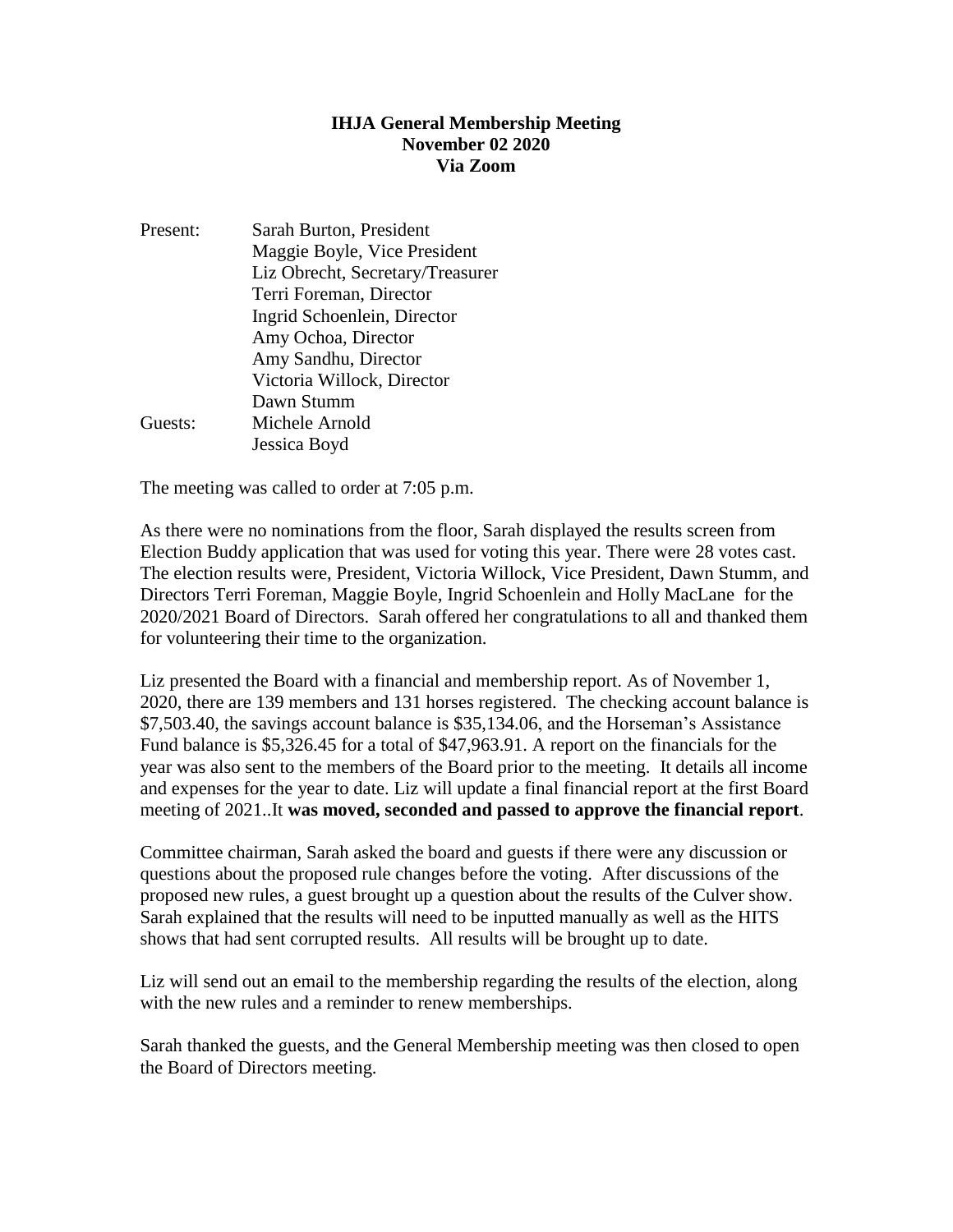### **IHJA General Membership Meeting November 02 2020 Via Zoom**

Present: Sarah Burton, President Maggie Boyle, Vice President Liz Obrecht, Secretary/Treasurer Terri Foreman, Director Ingrid Schoenlein, Director Amy Ochoa, Director Amy Sandhu, Director Victoria Willock, Director Dawn Stumm Guests: Michele Arnold Jessica Boyd

The meeting was called to order at 7:05 p.m.

As there were no nominations from the floor, Sarah displayed the results screen from Election Buddy application that was used for voting this year. There were 28 votes cast. The election results were, President, Victoria Willock, Vice President, Dawn Stumm, and Directors Terri Foreman, Maggie Boyle, Ingrid Schoenlein and Holly MacLane for the 2020/2021 Board of Directors. Sarah offered her congratulations to all and thanked them for volunteering their time to the organization.

Liz presented the Board with a financial and membership report. As of November 1, 2020, there are 139 members and 131 horses registered. The checking account balance is \$7,503.40, the savings account balance is \$35,134.06, and the Horseman's Assistance Fund balance is \$5,326.45 for a total of \$47,963.91. A report on the financials for the year was also sent to the members of the Board prior to the meeting. It details all income and expenses for the year to date. Liz will update a final financial report at the first Board meeting of 2021..It **was moved, seconded and passed to approve the financial report**.

Committee chairman, Sarah asked the board and guests if there were any discussion or questions about the proposed rule changes before the voting. After discussions of the proposed new rules, a guest brought up a question about the results of the Culver show. Sarah explained that the results will need to be inputted manually as well as the HITS shows that had sent corrupted results. All results will be brought up to date.

Liz will send out an email to the membership regarding the results of the election, along with the new rules and a reminder to renew memberships.

Sarah thanked the guests, and the General Membership meeting was then closed to open the Board of Directors meeting.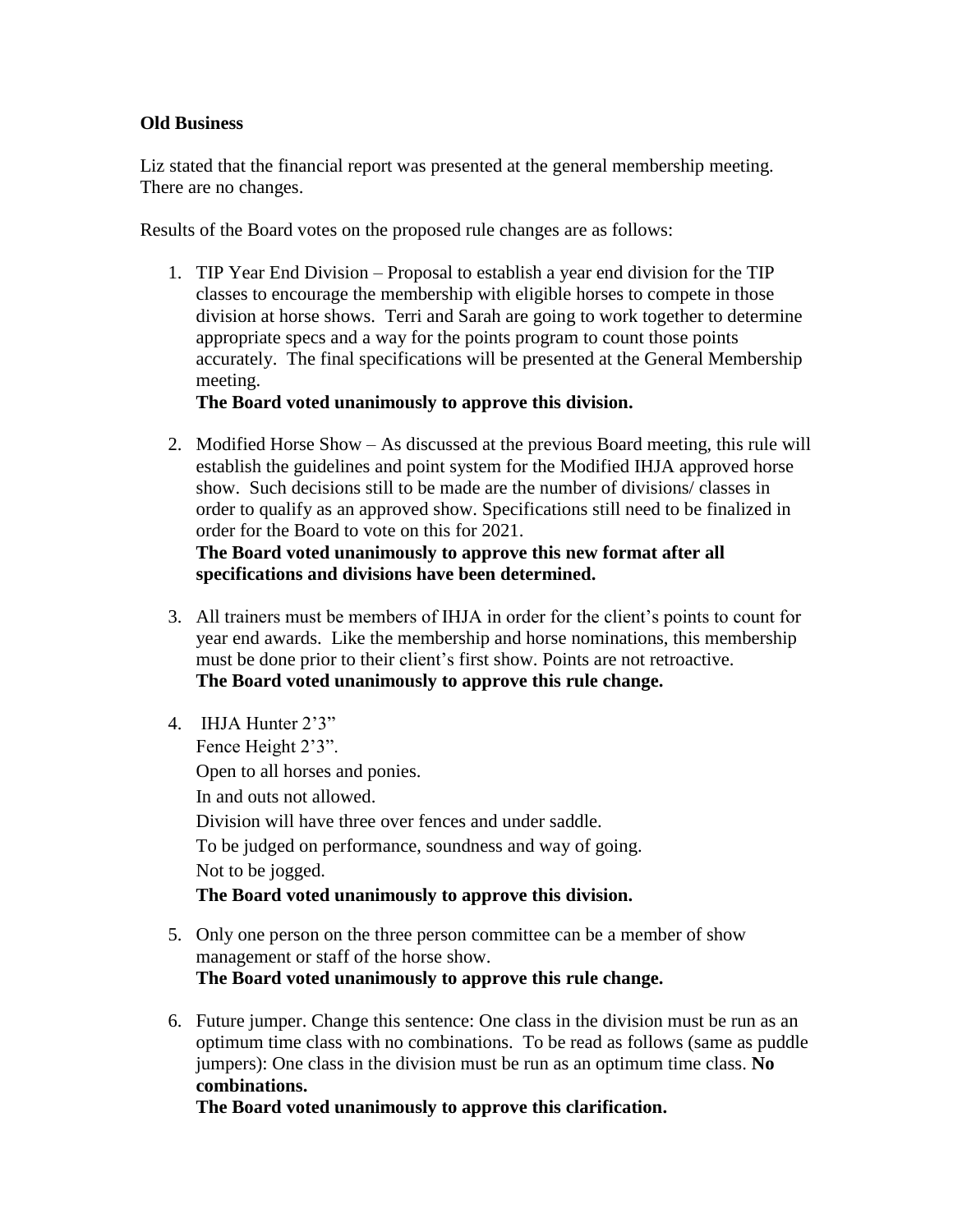# **Old Business**

Liz stated that the financial report was presented at the general membership meeting. There are no changes.

Results of the Board votes on the proposed rule changes are as follows:

1. TIP Year End Division – Proposal to establish a year end division for the TIP classes to encourage the membership with eligible horses to compete in those division at horse shows. Terri and Sarah are going to work together to determine appropriate specs and a way for the points program to count those points accurately. The final specifications will be presented at the General Membership meeting.

# **The Board voted unanimously to approve this division.**

2. Modified Horse Show – As discussed at the previous Board meeting, this rule will establish the guidelines and point system for the Modified IHJA approved horse show. Such decisions still to be made are the number of divisions/ classes in order to qualify as an approved show. Specifications still need to be finalized in order for the Board to vote on this for 2021. **The Board voted unanimously to approve this new format after all** 

# **specifications and divisions have been determined.**

- 3. All trainers must be members of IHJA in order for the client's points to count for year end awards. Like the membership and horse nominations, this membership must be done prior to their client's first show. Points are not retroactive. **The Board voted unanimously to approve this rule change.**
- 4. IHJA Hunter 2'3"

Fence Height 2'3". Open to all horses and ponies. In and outs not allowed. Division will have three over fences and under saddle. To be judged on performance, soundness and way of going. Not to be jogged. **The Board voted unanimously to approve this division.**

# 5. Only one person on the three person committee can be a member of show management or staff of the horse show. **The Board voted unanimously to approve this rule change.**

6. Future jumper. Change this sentence: One class in the division must be run as an optimum time class with no combinations. To be read as follows (same as puddle jumpers): One class in the division must be run as an optimum time class. **No combinations.**

**The Board voted unanimously to approve this clarification.**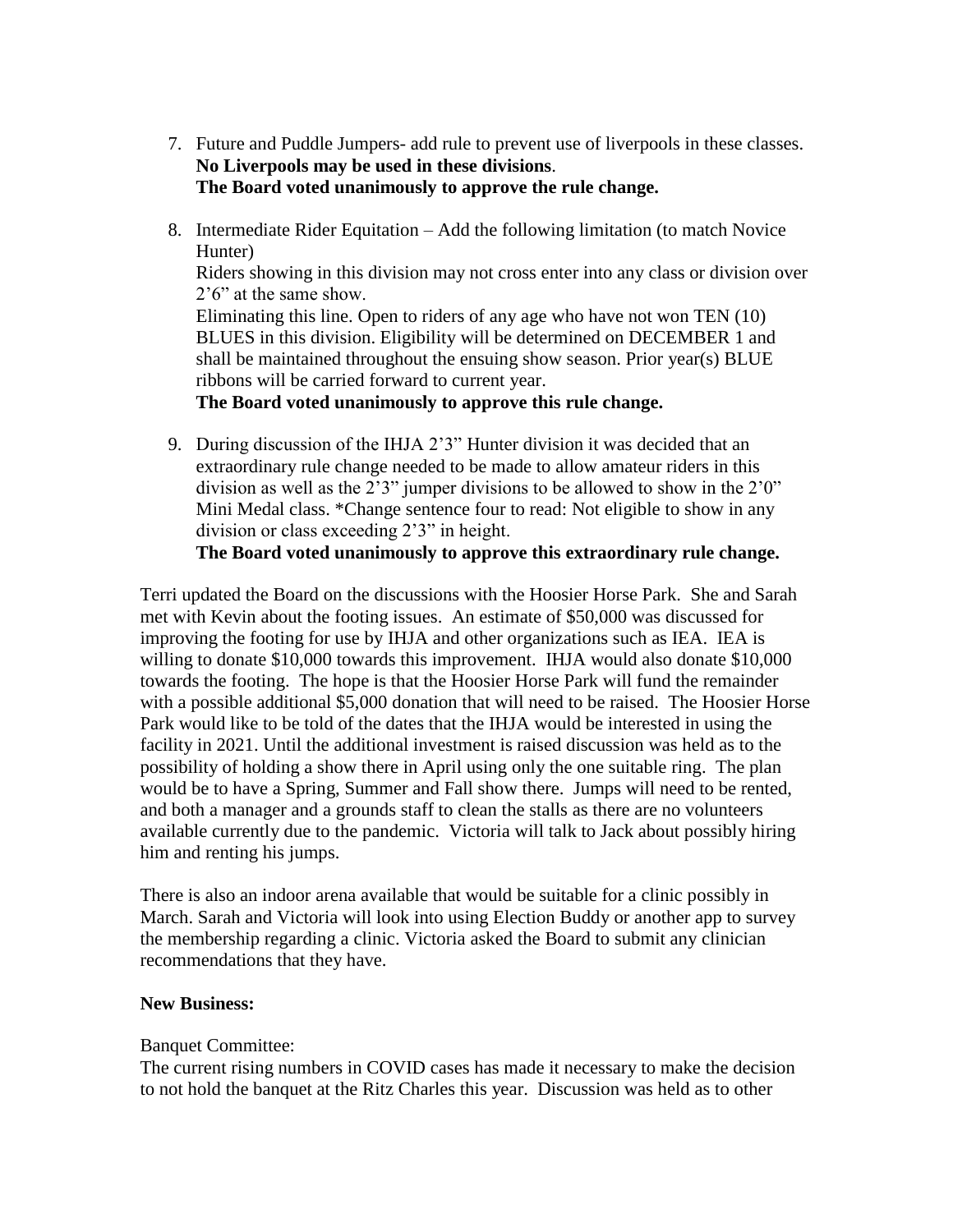- 7. Future and Puddle Jumpers- add rule to prevent use of liverpools in these classes. **No Liverpools may be used in these divisions**. **The Board voted unanimously to approve the rule change.**
- 8. Intermediate Rider Equitation Add the following limitation (to match Novice Hunter)

Riders showing in this division may not cross enter into any class or division over 2'6" at the same show.

Eliminating this line. Open to riders of any age who have not won TEN (10) BLUES in this division. Eligibility will be determined on DECEMBER 1 and shall be maintained throughout the ensuing show season. Prior year(s) BLUE ribbons will be carried forward to current year.

**The Board voted unanimously to approve this rule change.**

9. During discussion of the IHJA 2'3" Hunter division it was decided that an extraordinary rule change needed to be made to allow amateur riders in this division as well as the 2'3" jumper divisions to be allowed to show in the 2'0" Mini Medal class. \*Change sentence four to read: Not eligible to show in any division or class exceeding 2'3" in height.

**The Board voted unanimously to approve this extraordinary rule change.**

Terri updated the Board on the discussions with the Hoosier Horse Park. She and Sarah met with Kevin about the footing issues. An estimate of \$50,000 was discussed for improving the footing for use by IHJA and other organizations such as IEA. IEA is willing to donate \$10,000 towards this improvement. IHJA would also donate \$10,000 towards the footing. The hope is that the Hoosier Horse Park will fund the remainder with a possible additional \$5,000 donation that will need to be raised. The Hoosier Horse Park would like to be told of the dates that the IHJA would be interested in using the facility in 2021. Until the additional investment is raised discussion was held as to the possibility of holding a show there in April using only the one suitable ring. The plan would be to have a Spring, Summer and Fall show there. Jumps will need to be rented, and both a manager and a grounds staff to clean the stalls as there are no volunteers available currently due to the pandemic. Victoria will talk to Jack about possibly hiring him and renting his jumps.

There is also an indoor arena available that would be suitable for a clinic possibly in March. Sarah and Victoria will look into using Election Buddy or another app to survey the membership regarding a clinic. Victoria asked the Board to submit any clinician recommendations that they have.

### **New Business:**

### Banquet Committee:

The current rising numbers in COVID cases has made it necessary to make the decision to not hold the banquet at the Ritz Charles this year. Discussion was held as to other